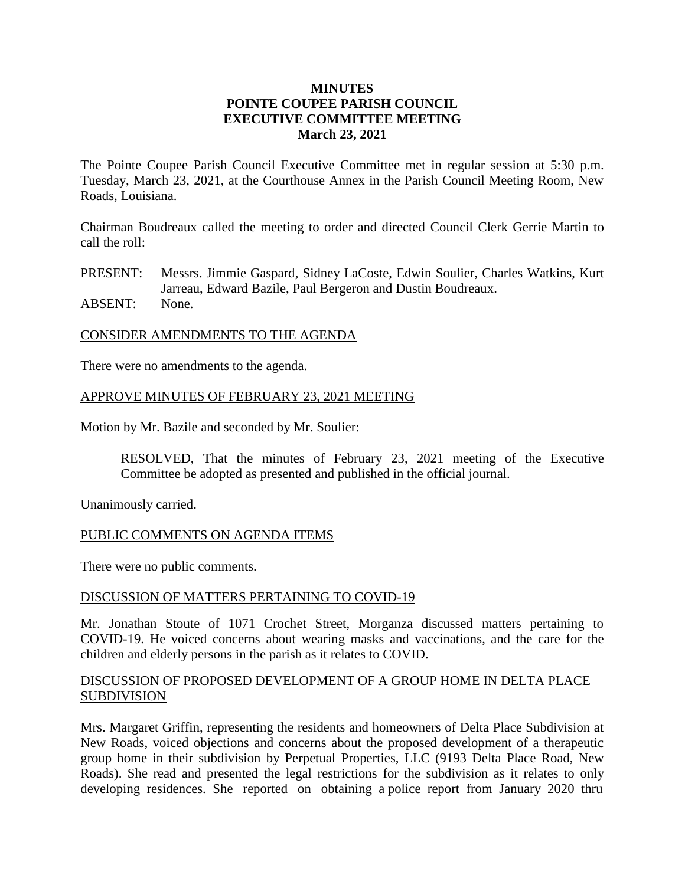## **MINUTES POINTE COUPEE PARISH COUNCIL EXECUTIVE COMMITTEE MEETING March 23, 2021**

The Pointe Coupee Parish Council Executive Committee met in regular session at 5:30 p.m. Tuesday, March 23, 2021, at the Courthouse Annex in the Parish Council Meeting Room, New Roads, Louisiana.

Chairman Boudreaux called the meeting to order and directed Council Clerk Gerrie Martin to call the roll:

PRESENT: Messrs. Jimmie Gaspard, Sidney LaCoste, Edwin Soulier, Charles Watkins, Kurt Jarreau, Edward Bazile, Paul Bergeron and Dustin Boudreaux. ABSENT: None.

#### CONSIDER AMENDMENTS TO THE AGENDA

There were no amendments to the agenda.

## APPROVE MINUTES OF FEBRUARY 23, 2021 MEETING

Motion by Mr. Bazile and seconded by Mr. Soulier:

RESOLVED, That the minutes of February 23, 2021 meeting of the Executive Committee be adopted as presented and published in the official journal.

Unanimously carried.

## PUBLIC COMMENTS ON AGENDA ITEMS

There were no public comments.

## DISCUSSION OF MATTERS PERTAINING TO COVID-19

Mr. Jonathan Stoute of 1071 Crochet Street, Morganza discussed matters pertaining to COVID-19. He voiced concerns about wearing masks and vaccinations, and the care for the children and elderly persons in the parish as it relates to COVID.

### DISCUSSION OF PROPOSED DEVELOPMENT OF A GROUP HOME IN DELTA PLACE SUBDIVISION

Mrs. Margaret Griffin, representing the residents and homeowners of Delta Place Subdivision at New Roads, voiced objections and concerns about the proposed development of a therapeutic group home in their subdivision by Perpetual Properties, LLC (9193 Delta Place Road, New Roads). She read and presented the legal restrictions for the subdivision as it relates to only developing residences. She reported on obtaining a police report from January 2020 thru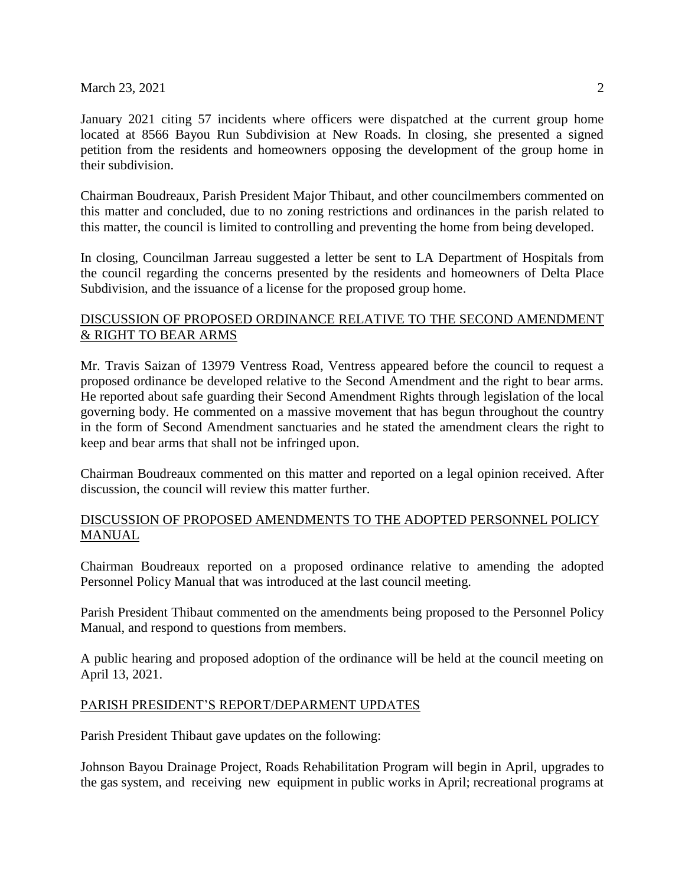March 23, 2021 2

January 2021 citing 57 incidents where officers were dispatched at the current group home located at 8566 Bayou Run Subdivision at New Roads. In closing, she presented a signed petition from the residents and homeowners opposing the development of the group home in their subdivision.

Chairman Boudreaux, Parish President Major Thibaut, and other councilmembers commented on this matter and concluded, due to no zoning restrictions and ordinances in the parish related to this matter, the council is limited to controlling and preventing the home from being developed.

In closing, Councilman Jarreau suggested a letter be sent to LA Department of Hospitals from the council regarding the concerns presented by the residents and homeowners of Delta Place Subdivision, and the issuance of a license for the proposed group home.

# DISCUSSION OF PROPOSED ORDINANCE RELATIVE TO THE SECOND AMENDMENT & RIGHT TO BEAR ARMS

Mr. Travis Saizan of 13979 Ventress Road, Ventress appeared before the council to request a proposed ordinance be developed relative to the Second Amendment and the right to bear arms. He reported about safe guarding their Second Amendment Rights through legislation of the local governing body. He commented on a massive movement that has begun throughout the country in the form of Second Amendment sanctuaries and he stated the amendment clears the right to keep and bear arms that shall not be infringed upon.

Chairman Boudreaux commented on this matter and reported on a legal opinion received. After discussion, the council will review this matter further.

# DISCUSSION OF PROPOSED AMENDMENTS TO THE ADOPTED PERSONNEL POLICY MANUAL

Chairman Boudreaux reported on a proposed ordinance relative to amending the adopted Personnel Policy Manual that was introduced at the last council meeting.

Parish President Thibaut commented on the amendments being proposed to the Personnel Policy Manual, and respond to questions from members.

A public hearing and proposed adoption of the ordinance will be held at the council meeting on April 13, 2021.

# PARISH PRESIDENT'S REPORT/DEPARMENT UPDATES

Parish President Thibaut gave updates on the following:

Johnson Bayou Drainage Project, Roads Rehabilitation Program will begin in April, upgrades to the gas system, and receiving new equipment in public works in April; recreational programs at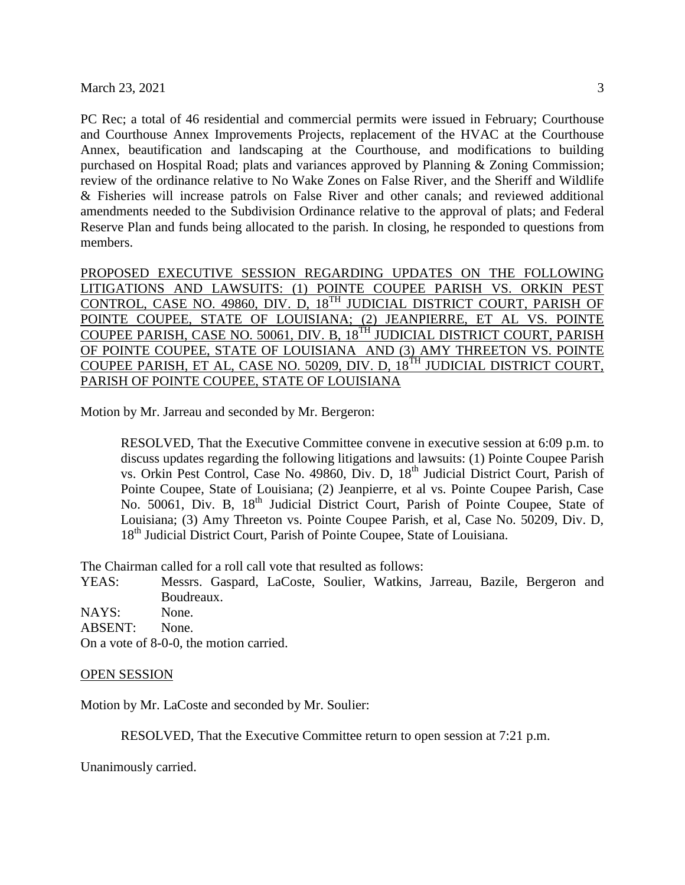PC Rec; a total of 46 residential and commercial permits were issued in February; Courthouse and Courthouse Annex Improvements Projects, replacement of the HVAC at the Courthouse Annex, beautification and landscaping at the Courthouse, and modifications to building purchased on Hospital Road; plats and variances approved by Planning & Zoning Commission; review of the ordinance relative to No Wake Zones on False River, and the Sheriff and Wildlife & Fisheries will increase patrols on False River and other canals; and reviewed additional amendments needed to the Subdivision Ordinance relative to the approval of plats; and Federal Reserve Plan and funds being allocated to the parish. In closing, he responded to questions from members.

PROPOSED EXECUTIVE SESSION REGARDING UPDATES ON THE FOLLOWING LITIGATIONS AND LAWSUITS: (1) POINTE COUPEE PARISH VS. ORKIN PEST CONTROL, CASE NO. 49860, DIV. D, 18TH JUDICIAL DISTRICT COURT, PARISH OF POINTE COUPEE, STATE OF LOUISIANA; (2) JEANPIERRE, ET AL VS. POINTE COUPEE PARISH, CASE NO. 50061, DIV. B, 18TH JUDICIAL DISTRICT COURT, PARISH OF POINTE COUPEE, STATE OF LOUISIANA AND (3) AMY THREETON VS. POINTE COUPEE PARISH, ET AL, CASE NO. 50209, DIV. D, 18TH JUDICIAL DISTRICT COURT, PARISH OF POINTE COUPEE, STATE OF LOUISIANA

Motion by Mr. Jarreau and seconded by Mr. Bergeron:

RESOLVED, That the Executive Committee convene in executive session at 6:09 p.m. to discuss updates regarding the following litigations and lawsuits: (1) Pointe Coupee Parish vs. Orkin Pest Control, Case No. 49860, Div. D, 18<sup>th</sup> Judicial District Court, Parish of Pointe Coupee, State of Louisiana; (2) Jeanpierre, et al vs. Pointe Coupee Parish, Case No. 50061, Div. B, 18<sup>th</sup> Judicial District Court, Parish of Pointe Coupee, State of Louisiana; (3) Amy Threeton vs. Pointe Coupee Parish, et al, Case No. 50209, Div. D, 18<sup>th</sup> Judicial District Court, Parish of Pointe Coupee, State of Louisiana.

The Chairman called for a roll call vote that resulted as follows:

YEAS: Messrs. Gaspard, LaCoste, Soulier, Watkins, Jarreau, Bazile, Bergeron and Boudreaux.

NAYS: None.

ABSENT: None.

On a vote of 8-0-0, the motion carried.

#### OPEN SESSION

Motion by Mr. LaCoste and seconded by Mr. Soulier:

RESOLVED, That the Executive Committee return to open session at 7:21 p.m.

Unanimously carried.